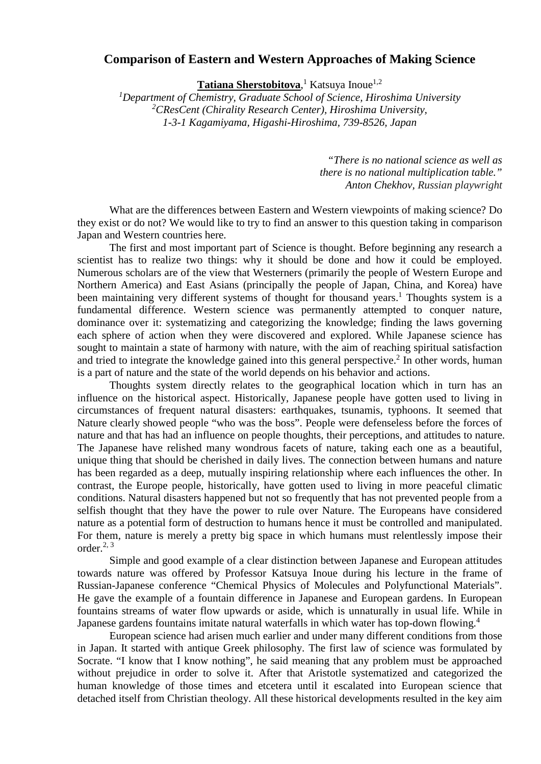## **Comparison of Eastern and Western Approaches of Making Science**

**Tatiana Sherstobitova**, <sup>1</sup> Katsuya Inoue1,2

<sup>1</sup>Department of Chemistry, Graduate School of Science, Hiroshima University *2 CResCent (Chirality Research Center), Hiroshima University, 1-3-1 Kagamiyama, Higashi-Hiroshima, 739-8526, Japan*

> *"There is no national science as well as there is no national multiplication table." Anton Chekhov, Russian playwright*

What are the differences between Eastern and Western viewpoints of making science? Do they exist or do not? We would like to try to find an answer to this question taking in comparison Japan and Western countries here.

The first and most important part of Science is thought. Before beginning any research a scientist has to realize two things: why it should be done and how it could be employed. Numerous scholars are of the view that Westerners (primarily the people of Western Europe and Northern America) and East Asians (principally the people of Japan, China, and Korea) have been maintaining very different systems of thought for thousand years.<sup>1</sup> Thoughts system is a fundamental difference. Western science was permanently attempted to conquer nature, dominance over it: systematizing and categorizing the knowledge; finding the laws governing each sphere of action when they were discovered and explored. While Japanese science has sought to maintain a state of harmony with nature, with the aim of reaching spiritual satisfaction and tried to integrate the knowledge gained into this general perspective.<sup>2</sup> In other words, human is a part of nature and the state of the world depends on his behavior and actions.

Thoughts system directly relates to the geographical location which in turn has an influence on the historical aspect. Historically, Japanese people have gotten used to living in circumstances of frequent natural disasters: earthquakes, tsunamis, typhoons. It seemed that Nature clearly showed people "who was the boss". People were defenseless before the forces of nature and that has had an influence on people thoughts, their perceptions, and attitudes to nature. The Japanese have relished many wondrous facets of nature, taking each one as a beautiful, unique thing that should be cherished in daily lives. The connection between humans and nature has been regarded as a deep, mutually inspiring relationship where each influences the other. In contrast, the Europe people, historically, have gotten used to living in more peaceful climatic conditions. Natural disasters happened but not so frequently that has not prevented people from a selfish thought that they have the power to rule over Nature. The Europeans have considered nature as a potential form of destruction to humans hence it must be controlled and manipulated. For them, nature is merely a pretty big space in which humans must relentlessly impose their order. $^{2, 3}$ 

Simple and good example of a clear distinction between Japanese and European attitudes towards nature was offered by Professor Katsuya Inoue during his lecture in the frame of Russian-Japanese conference "Chemical Physics of Molecules and Polyfunctional Materials". He gave the example of a fountain difference in Japanese and European gardens. In European fountains streams of water flow upwards or aside, which is unnaturally in usual life. While in Japanese gardens fountains imitate natural waterfalls in which water has top-down flowing.<sup>4</sup>

European science had arisen much earlier and under many different conditions from those in Japan. It started with antique Greek philosophy. The first law of science was formulated by Socrate. "I know that I know nothing", he said meaning that any problem must be approached without prejudice in order to solve it. After that Aristotle systematized and categorized the human knowledge of those times and etcetera until it escalated into European science that detached itself from Christian theology. All these historical developments resulted in the key aim